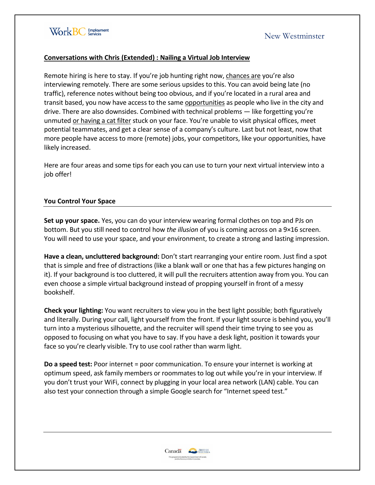

# New Westminster

### **Conversations with Chris (Extended) : Nailing a Virtual Job Interview**

Remote hiring is here to stay. If you're job hunting right now, [chances are](https://hrdailyadvisor.blr.com/2020/10/07/pandemic-causes-rise-in-remote-hiring-strategies-robert-half-finds/) you're also interviewing remotely. There are some serious upsides to this. You can avoid being late (no traffic), reference notes without being too obvious, and if you're located in a rural area and transit based, you now have access to the same [opportunities](https://www.fastcompany.com/90525652/can-remote-work-live-up-to-its-potential-to-change-workplace-diversity) as people who live in the city and drive. There are also downsides. Combined with technical problems — like forgetting you're unmuted [or having a cat filter](https://www.bbc.co.uk/news/technology-56010156) stuck on your face. You're unable to visit physical offices, meet potential teammates, and get a clear sense of a company's culture. Last but not least, now that more people have access to more (remote) jobs, your competitors, like your opportunities, have likely increased.

Here are four areas and some tips for each you can use to turn your next virtual interview into a job offer!

#### **You Control Your Space**

**Set up your space.** Yes, you can do your interview wearing formal clothes on top and PJs on bottom. But you still need to control how *the illusion* of you is coming across on a 9×16 screen. You will need to use your space, and your environment, to create a strong and lasting impression.

**Have a clean, uncluttered background:** Don't start rearranging your entire room. Just find a spot that is simple and free of distractions (like a blank wall or one that has a few pictures hanging on it). If your background is too cluttered, it will pull the recruiters attention away from you. You can even choose a simple virtual background instead of propping yourself in front of a messy bookshelf.

**Check your lighting:** You want recruiters to view you in the best light possible; both figuratively and literally. During your call, light yourself from the front. If your light source is behind you, you'll turn into a mysterious silhouette, and the recruiter will spend their time trying to see you as opposed to focusing on what you have to say. If you have a desk light, position it towards your face so you're clearly visible. Try to use cool rather than warm light.

**Do a speed test:** Poor internet = poor communication. To ensure your internet is working at optimum speed, ask family members or roommates to log out while you're in your interview. If you don't trust your WiFi, connect by plugging in your local area network (LAN) cable. You can also test your connection through a simple Google search for "Internet speed test."

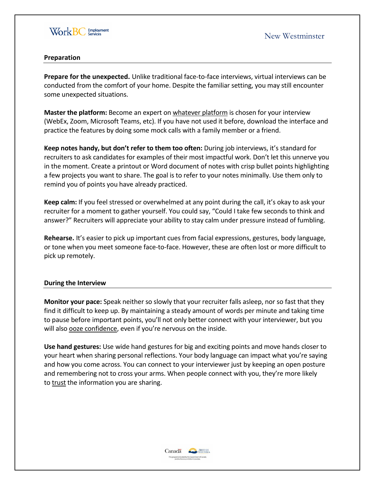

## **Preparation**

**Prepare for the unexpected.** Unlike traditional face-to-face interviews, virtual interviews can be conducted from the comfort of your home. Despite the familiar setting, you may still encounter some unexpected situations.

**Master the platform:** Become an expert on [whatever platform](https://techalliance.ca/top-tips-for-remote-hiring-onboarding/?gclid=CjwKCAiAiML-BRAAEiwAuWVgggQoFOhY-iWyOvFHs9daVeunBbFlziIUSlWEFqKdjdQcaccGdUXoJBoC28sQAvD_BwE) is chosen for your interview (WebEx, Zoom, Microsoft Teams, etc). If you have not used it before, download the interface and practice the features by doing some mock calls with a family member or a friend.

**Keep notes handy, but don't refer to them too often:** During job interviews, it's standard for recruiters to ask candidates for examples of their most impactful work. Don't let this unnerve you in the moment. Create a printout or Word document of notes with crisp bullet points highlighting a few projects you want to share. The goal is to refer to your notes minimally. Use them only to remind you of points you have already practiced.

**Keep calm:** If you feel stressed or overwhelmed at any point during the call, it's okay to ask your recruiter for a moment to gather yourself. You could say, "Could I take few seconds to think and answer?" Recruiters will appreciate your ability to stay calm under pressure instead of fumbling.

**Rehearse.** It's easier to pick up important cues from facial expressions, gestures, body language, or tone when you meet someone face-to-face. However, these are often lost or more difficult to pick up remotely.

#### **During the Interview**

**Monitor your pace:** Speak neither so slowly that your recruiter falls asleep, nor so fast that they find it difficult to keep up. By maintaining a steady amount of words per minute and taking time to pause before important points, you'll not only better connect with your interviewer, but you will also [ooze confidence](https://hbr.org/2019/10/how-to-look-and-sound-confident-during-a-presentation), even if you're nervous on the inside.

**Use hand gestures:** Use wide hand gestures for big and exciting points and move hands closer to your heart when sharing personal reflections. Your body language can impact what you're saying and how you come across. You can connect to your interviewer just by keeping an open posture and remembering not to cross your arms. When people connect with you, they're more likely to [trust](https://journals.plos.org/plosone/article?id=10.1371/journal.pone.0095748) the information you are sharing.